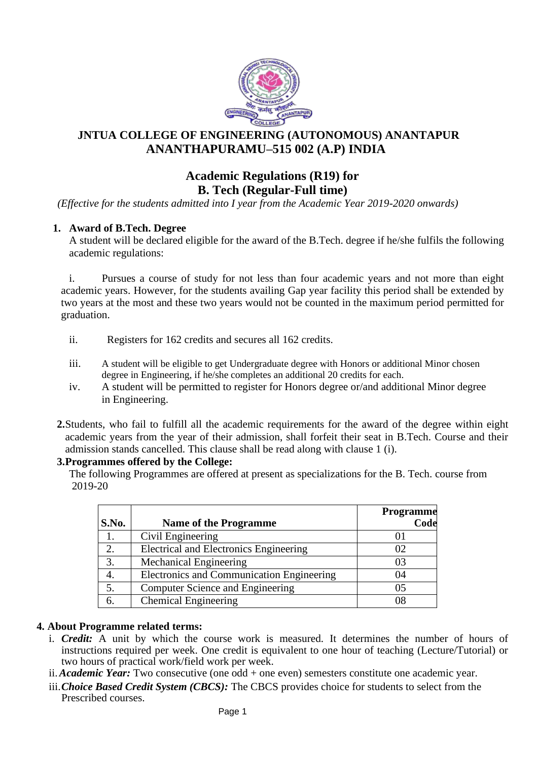

# **JNTUA COLLEGE OF ENGINEERING (AUTONOMOUS) ANANTAPUR ANANTHAPURAMU–515 002 (A.P) INDIA**

# **Academic Regulations (R19) for B. Tech (Regular-Full time)**

*(Effective for the students admitted into I year from the Academic Year 2019-2020 onwards)*

# **1. Award of B.Tech. Degree**

A student will be declared eligible for the award of the B.Tech. degree if he/she fulfils the following academic regulations:

i. Pursues a course of study for not less than four academic years and not more than eight academic years. However, for the students availing Gap year facility this period shall be extended by two years at the most and these two years would not be counted in the maximum period permitted for graduation.

- ii. Registers for 162 credits and secures all 162 credits.
- iii. A student will be eligible to get Undergraduate degree with Honors or additional Minor chosen degree in Engineering, if he/she completes an additional 20 credits for each.
- iv. A student will be permitted to register for Honors degree or/and additional Minor degree in Engineering.
- **2.**Students, who fail to fulfill all the academic requirements for the award of the degree within eight academic years from the year of their admission, shall forfeit their seat in B.Tech. Course and their admission stands cancelled. This clause shall be read along with clause 1 (i).

#### **3.Programmes offered by the College:**

The following Programmes are offered at present as specializations for the B. Tech. course from 2019-20

| S.No. | <b>Name of the Programme</b>                  | Programme<br>Code |
|-------|-----------------------------------------------|-------------------|
| 1.    | Civil Engineering                             |                   |
| 2.    | <b>Electrical and Electronics Engineering</b> | 02                |
| 3.    | <b>Mechanical Engineering</b>                 | 03                |
| 4.    | Electronics and Communication Engineering     | 04                |
| 5.    | Computer Science and Engineering              | 05                |
| 6.    | <b>Chemical Engineering</b>                   | 08                |

# **4. About Programme related terms:**

- i. *Credit:* A unit by which the course work is measured. It determines the number of hours of instructions required per week. One credit is equivalent to one hour of teaching (Lecture/Tutorial) or two hours of practical work/field work per week.
- ii.*Academic Year:* Two consecutive (one odd + one even) semesters constitute one academic year.
- iii.*Choice Based Credit System (CBCS):* The CBCS provides choice for students to select from the Prescribed courses.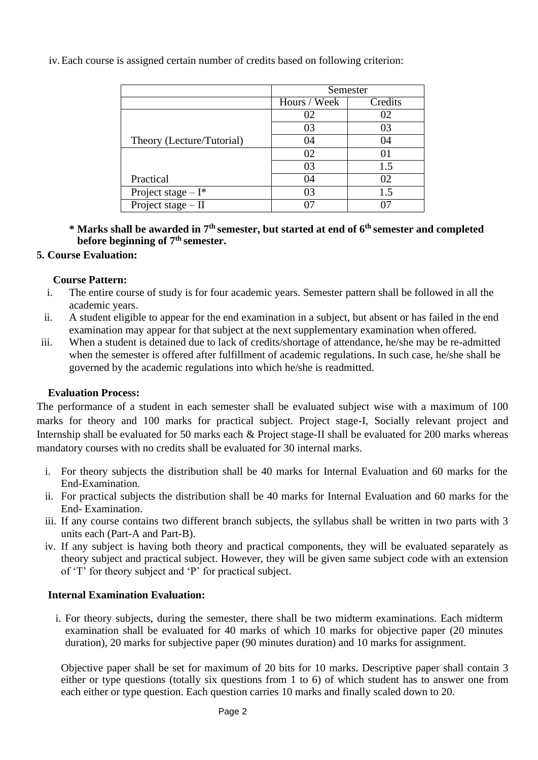Semester Hours / Week Credits Theory (Lecture/Tutorial) 02 02 03 03 04 04 Practical 02 01 03 1.5 04 02 Project stage –  $I^*$  03 1.5 Project stage – II  $07$  07 07

iv.Each course is assigned certain number of credits based on following criterion:

**\* Marks shall be awarded in 7th semester, but started at end of 6th semester and completed before beginning of 7th semester.**

### **5. Course Evaluation:**

### **Course Pattern:**

- i. The entire course of study is for four academic years. Semester pattern shall be followed in all the academic years.
- ii. A student eligible to appear for the end examination in a subject, but absent or has failed in the end examination may appear for that subject at the next supplementary examination when offered.
- iii. When a student is detained due to lack of credits/shortage of attendance, he/she may be re-admitted when the semester is offered after fulfillment of academic regulations. In such case, he/she shall be governed by the academic regulations into which he/she is readmitted.

# **Evaluation Process:**

The performance of a student in each semester shall be evaluated subject wise with a maximum of 100 marks for theory and 100 marks for practical subject. Project stage-I, Socially relevant project and Internship shall be evaluated for 50 marks each & Project stage-II shall be evaluated for 200 marks whereas mandatory courses with no credits shall be evaluated for 30 internal marks.

- i. For theory subjects the distribution shall be 40 marks for Internal Evaluation and 60 marks for the End-Examination.
- ii. For practical subjects the distribution shall be 40 marks for Internal Evaluation and 60 marks for the End- Examination.
- iii. If any course contains two different branch subjects, the syllabus shall be written in two parts with 3 units each (Part-A and Part-B).
- iv. If any subject is having both theory and practical components, they will be evaluated separately as theory subject and practical subject. However, they will be given same subject code with an extension of 'T' for theory subject and 'P' for practical subject.

# **Internal Examination Evaluation:**

i. For theory subjects, during the semester, there shall be two midterm examinations. Each midterm examination shall be evaluated for 40 marks of which 10 marks for objective paper (20 minutes duration), 20 marks for subjective paper (90 minutes duration) and 10 marks for assignment.

Objective paper shall be set for maximum of 20 bits for 10 marks. Descriptive paper shall contain 3 either or type questions (totally six questions from 1 to 6) of which student has to answer one from each either or type question. Each question carries 10 marks and finally scaled down to 20.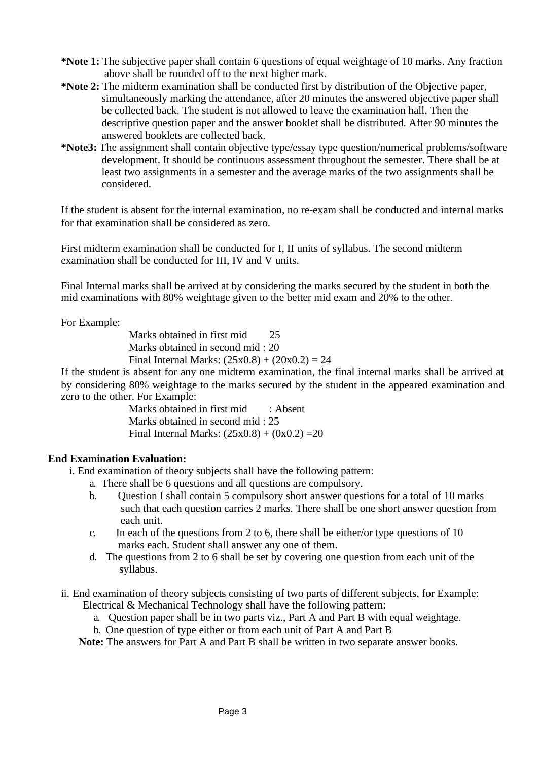- **\*Note 1:** The subjective paper shall contain 6 questions of equal weightage of 10 marks. Any fraction above shall be rounded off to the next higher mark.
- **\*Note 2:** The midterm examination shall be conducted first by distribution of the Objective paper, simultaneously marking the attendance, after 20 minutes the answered objective paper shall be collected back. The student is not allowed to leave the examination hall. Then the descriptive question paper and the answer booklet shall be distributed. After 90 minutes the answered booklets are collected back.
- **\*Note3:** The assignment shall contain objective type/essay type question/numerical problems/software development. It should be continuous assessment throughout the semester. There shall be at least two assignments in a semester and the average marks of the two assignments shall be considered.

If the student is absent for the internal examination, no re-exam shall be conducted and internal marks for that examination shall be considered as zero.

First midterm examination shall be conducted for I, II units of syllabus. The second midterm examination shall be conducted for III, IV and V units.

Final Internal marks shall be arrived at by considering the marks secured by the student in both the mid examinations with 80% weightage given to the better mid exam and 20% to the other.

For Example:

Marks obtained in first mid 25 Marks obtained in second mid : 20 Final Internal Marks:  $(25x0.8) + (20x0.2) = 24$ 

If the student is absent for any one midterm examination, the final internal marks shall be arrived at by considering 80% weightage to the marks secured by the student in the appeared examination and zero to the other. For Example:

> Marks obtained in first mid : Absent Marks obtained in second mid : 25 Final Internal Marks:  $(25x0.8) + (0x0.2) = 20$

# **End Examination Evaluation:**

i. End examination of theory subjects shall have the following pattern:

- a. There shall be 6 questions and all questions are compulsory.
- b. Question I shall contain 5 compulsory short answer questions for a total of 10 marks such that each question carries 2 marks. There shall be one short answer question from each unit.
- c. In each of the questions from 2 to 6, there shall be either/or type questions of 10 marks each. Student shall answer any one of them.
- d. The questions from 2 to 6 shall be set by covering one question from each unit of the syllabus.
- ii. End examination of theory subjects consisting of two parts of different subjects, for Example: Electrical & Mechanical Technology shall have the following pattern:
	- a. Question paper shall be in two parts viz., Part A and Part B with equal weightage.
	- b. One question of type either or from each unit of Part A and Part B

**Note:** The answers for Part A and Part B shall be written in two separate answer books.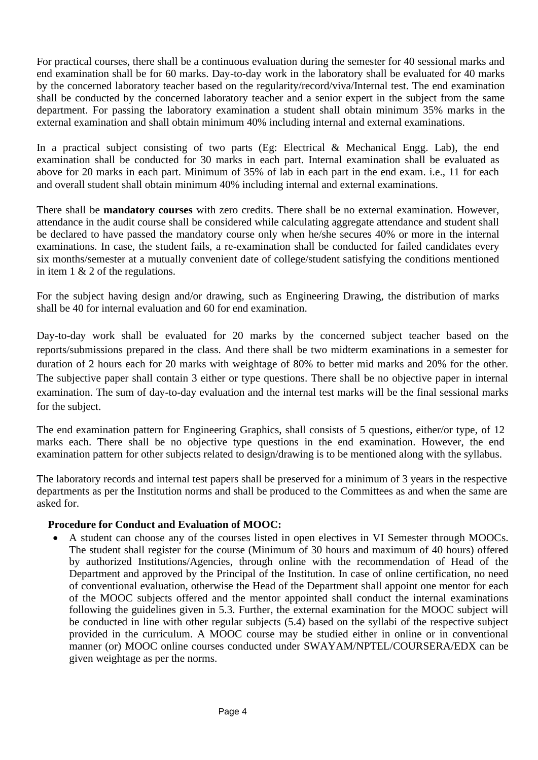For practical courses, there shall be a continuous evaluation during the semester for 40 sessional marks and end examination shall be for 60 marks. Day-to-day work in the laboratory shall be evaluated for 40 marks by the concerned laboratory teacher based on the regularity/record/viva/Internal test. The end examination shall be conducted by the concerned laboratory teacher and a senior expert in the subject from the same department. For passing the laboratory examination a student shall obtain minimum 35% marks in the external examination and shall obtain minimum 40% including internal and external examinations.

In a practical subject consisting of two parts (Eg: Electrical & Mechanical Engg. Lab), the end examination shall be conducted for 30 marks in each part. Internal examination shall be evaluated as above for 20 marks in each part. Minimum of 35% of lab in each part in the end exam. i.e., 11 for each and overall student shall obtain minimum 40% including internal and external examinations.

There shall be **mandatory courses** with zero credits. There shall be no external examination. However, attendance in the audit course shall be considered while calculating aggregate attendance and student shall be declared to have passed the mandatory course only when he/she secures 40% or more in the internal examinations. In case, the student fails, a re-examination shall be conducted for failed candidates every six months/semester at a mutually convenient date of college/student satisfying the conditions mentioned in item 1 & 2 of the regulations.

For the subject having design and/or drawing, such as Engineering Drawing, the distribution of marks shall be 40 for internal evaluation and 60 for end examination.

Day-to-day work shall be evaluated for 20 marks by the concerned subject teacher based on the reports/submissions prepared in the class. And there shall be two midterm examinations in a semester for duration of 2 hours each for 20 marks with weightage of 80% to better mid marks and 20% for the other. The subjective paper shall contain 3 either or type questions. There shall be no objective paper in internal examination. The sum of day-to-day evaluation and the internal test marks will be the final sessional marks for the subject.

The end examination pattern for Engineering Graphics, shall consists of 5 questions, either/or type, of 12 marks each. There shall be no objective type questions in the end examination. However, the end examination pattern for other subjects related to design/drawing is to be mentioned along with the syllabus.

The laboratory records and internal test papers shall be preserved for a minimum of 3 years in the respective departments as per the Institution norms and shall be produced to the Committees as and when the same are asked for.

# **Procedure for Conduct and Evaluation of MOOC:**

• A student can choose any of the courses listed in open electives in VI Semester through MOOCs. The student shall register for the course (Minimum of 30 hours and maximum of 40 hours) offered by authorized Institutions/Agencies, through online with the recommendation of Head of the Department and approved by the Principal of the Institution. In case of online certification, no need of conventional evaluation, otherwise the Head of the Department shall appoint one mentor for each of the MOOC subjects offered and the mentor appointed shall conduct the internal examinations following the guidelines given in 5.3. Further, the external examination for the MOOC subject will be conducted in line with other regular subjects (5.4) based on the syllabi of the respective subject provided in the curriculum. A MOOC course may be studied either in online or in conventional manner (or) MOOC online courses conducted under SWAYAM/NPTEL/COURSERA/EDX can be given weightage as per the norms.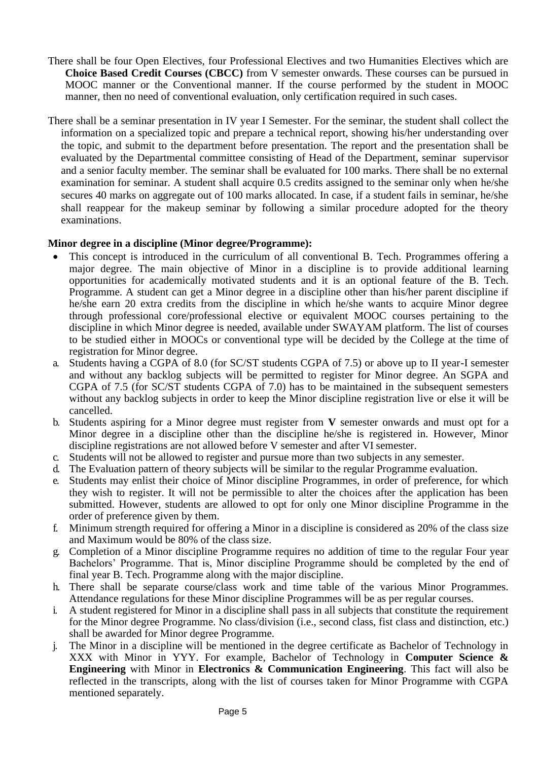- There shall be four Open Electives, four Professional Electives and two Humanities Electives which are **Choice Based Credit Courses (CBCC)** from V semester onwards. These courses can be pursued in MOOC manner or the Conventional manner. If the course performed by the student in MOOC manner, then no need of conventional evaluation, only certification required in such cases.
- There shall be a seminar presentation in IV year I Semester. For the seminar, the student shall collect the information on a specialized topic and prepare a technical report, showing his/her understanding over the topic, and submit to the department before presentation. The report and the presentation shall be evaluated by the Departmental committee consisting of Head of the Department, seminar supervisor and a senior faculty member. The seminar shall be evaluated for 100 marks. There shall be no external examination for seminar. A student shall acquire 0.5 credits assigned to the seminar only when he/she secures 40 marks on aggregate out of 100 marks allocated. In case, if a student fails in seminar, he/she shall reappear for the makeup seminar by following a similar procedure adopted for the theory examinations.

### **Minor degree in a discipline (Minor degree/Programme):**

- This concept is introduced in the curriculum of all conventional B. Tech. Programmes offering a major degree. The main objective of Minor in a discipline is to provide additional learning opportunities for academically motivated students and it is an optional feature of the B. Tech. Programme. A student can get a Minor degree in a discipline other than his/her parent discipline if he/she earn 20 extra credits from the discipline in which he/she wants to acquire Minor degree through professional core/professional elective or equivalent MOOC courses pertaining to the discipline in which Minor degree is needed, available under SWAYAM platform. The list of courses to be studied either in MOOCs or conventional type will be decided by the College at the time of registration for Minor degree.
- a. Students having a CGPA of 8.0 (for SC/ST students CGPA of 7.5) or above up to II year-I semester and without any backlog subjects will be permitted to register for Minor degree. An SGPA and CGPA of 7.5 (for SC/ST students CGPA of 7.0) has to be maintained in the subsequent semesters without any backlog subjects in order to keep the Minor discipline registration live or else it will be cancelled.
- b. Students aspiring for a Minor degree must register from **V** semester onwards and must opt for a Minor degree in a discipline other than the discipline he/she is registered in. However, Minor discipline registrations are not allowed before V semester and after VI semester.
- c. Students will not be allowed to register and pursue more than two subjects in any semester.
- d. The Evaluation pattern of theory subjects will be similar to the regular Programme evaluation.
- e. Students may enlist their choice of Minor discipline Programmes, in order of preference, for which they wish to register. It will not be permissible to alter the choices after the application has been submitted. However, students are allowed to opt for only one Minor discipline Programme in the order of preference given by them.
- f. Minimum strength required for offering a Minor in a discipline is considered as 20% of the class size and Maximum would be 80% of the class size.
- g. Completion of a Minor discipline Programme requires no addition of time to the regular Four year Bachelors' Programme. That is, Minor discipline Programme should be completed by the end of final year B. Tech. Programme along with the major discipline.
- h. There shall be separate course/class work and time table of the various Minor Programmes. Attendance regulations for these Minor discipline Programmes will be as per regular courses.
- i. A student registered for Minor in a discipline shall pass in all subjects that constitute the requirement for the Minor degree Programme. No class/division (i.e., second class, fist class and distinction, etc.) shall be awarded for Minor degree Programme.
- j. The Minor in a discipline will be mentioned in the degree certificate as Bachelor of Technology in XXX with Minor in YYY. For example, Bachelor of Technology in **Computer Science & Engineering** with Minor in **Electronics & Communication Engineering**. This fact will also be reflected in the transcripts, along with the list of courses taken for Minor Programme with CGPA mentioned separately.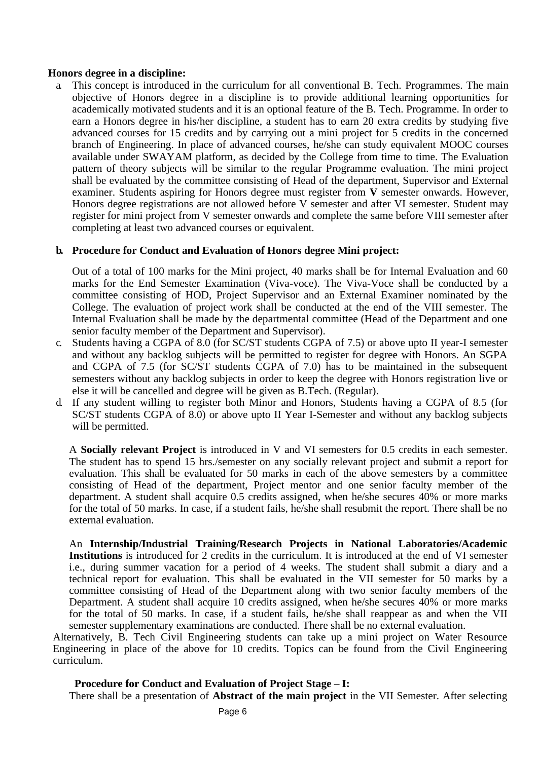#### **Honors degree in a discipline:**

a. This concept is introduced in the curriculum for all conventional B. Tech. Programmes. The main objective of Honors degree in a discipline is to provide additional learning opportunities for academically motivated students and it is an optional feature of the B. Tech. Programme. In order to earn a Honors degree in his/her discipline, a student has to earn 20 extra credits by studying five advanced courses for 15 credits and by carrying out a mini project for 5 credits in the concerned branch of Engineering. In place of advanced courses, he/she can study equivalent MOOC courses available under SWAYAM platform, as decided by the College from time to time. The Evaluation pattern of theory subjects will be similar to the regular Programme evaluation. The mini project shall be evaluated by the committee consisting of Head of the department, Supervisor and External examiner. Students aspiring for Honors degree must register from **V** semester onwards. However, Honors degree registrations are not allowed before V semester and after VI semester. Student may register for mini project from V semester onwards and complete the same before VIII semester after completing at least two advanced courses or equivalent.

#### **b. Procedure for Conduct and Evaluation of Honors degree Mini project:**

Out of a total of 100 marks for the Mini project, 40 marks shall be for Internal Evaluation and 60 marks for the End Semester Examination (Viva-voce). The Viva-Voce shall be conducted by a committee consisting of HOD, Project Supervisor and an External Examiner nominated by the College. The evaluation of project work shall be conducted at the end of the VIII semester. The Internal Evaluation shall be made by the departmental committee (Head of the Department and one senior faculty member of the Department and Supervisor).

- c. Students having a CGPA of 8.0 (for SC/ST students CGPA of 7.5) or above upto II year-I semester and without any backlog subjects will be permitted to register for degree with Honors. An SGPA and CGPA of 7.5 (for SC/ST students CGPA of 7.0) has to be maintained in the subsequent semesters without any backlog subjects in order to keep the degree with Honors registration live or else it will be cancelled and degree will be given as B.Tech. (Regular).
- d. If any student willing to register both Minor and Honors, Students having a CGPA of 8.5 (for SC/ST students CGPA of 8.0) or above upto II Year I-Semester and without any backlog subjects will be permitted.

A **Socially relevant Project** is introduced in V and VI semesters for 0.5 credits in each semester. The student has to spend 15 hrs./semester on any socially relevant project and submit a report for evaluation. This shall be evaluated for 50 marks in each of the above semesters by a committee consisting of Head of the department, Project mentor and one senior faculty member of the department. A student shall acquire 0.5 credits assigned, when he/she secures 40% or more marks for the total of 50 marks. In case, if a student fails, he/she shall resubmit the report. There shall be no external evaluation.

An **Internship/Industrial Training/Research Projects in National Laboratories/Academic Institutions** is introduced for 2 credits in the curriculum. It is introduced at the end of VI semester i.e., during summer vacation for a period of 4 weeks. The student shall submit a diary and a technical report for evaluation. This shall be evaluated in the VII semester for 50 marks by a committee consisting of Head of the Department along with two senior faculty members of the Department. A student shall acquire 10 credits assigned, when he/she secures 40% or more marks for the total of 50 marks. In case, if a student fails, he/she shall reappear as and when the VII semester supplementary examinations are conducted. There shall be no external evaluation.

Alternatively, B. Tech Civil Engineering students can take up a mini project on Water Resource Engineering in place of the above for 10 credits. Topics can be found from the Civil Engineering curriculum.

#### **Procedure for Conduct and Evaluation of Project Stage – I:**

There shall be a presentation of **Abstract of the main project** in the VII Semester. After selecting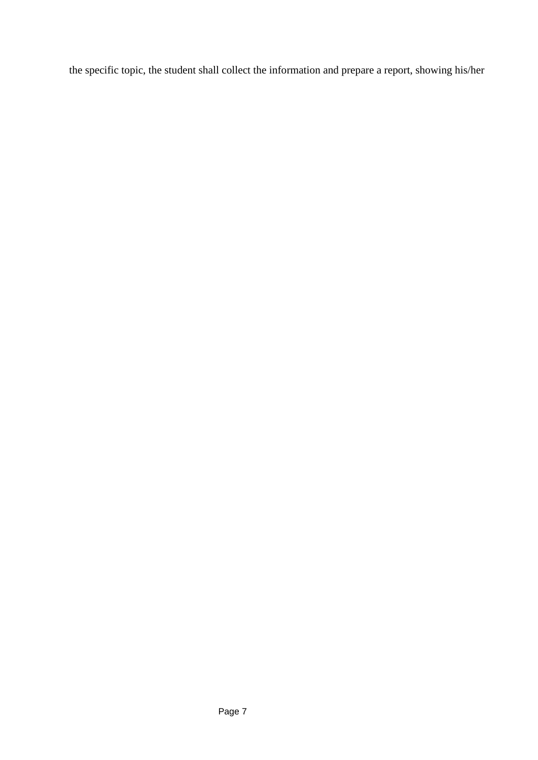the specific topic, the student shall collect the information and prepare a report, showing his/her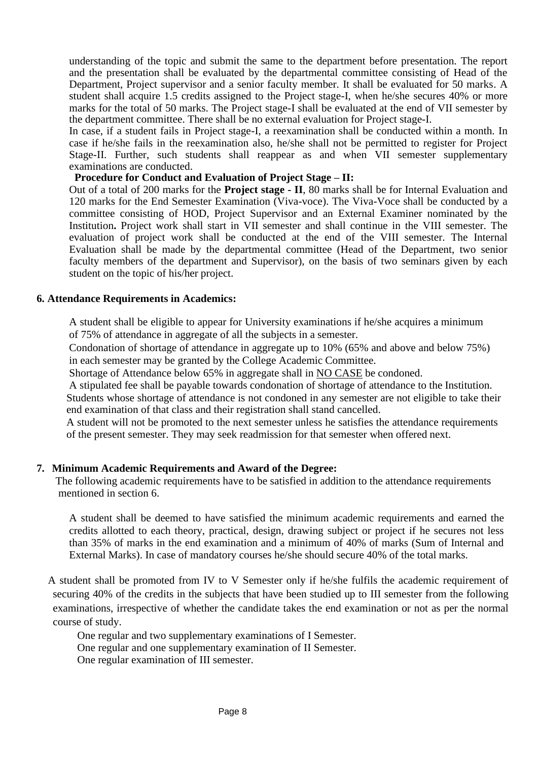understanding of the topic and submit the same to the department before presentation. The report and the presentation shall be evaluated by the departmental committee consisting of Head of the Department, Project supervisor and a senior faculty member. It shall be evaluated for 50 marks. A student shall acquire 1.5 credits assigned to the Project stage-I, when he/she secures 40% or more marks for the total of 50 marks. The Project stage-I shall be evaluated at the end of VII semester by the department committee. There shall be no external evaluation for Project stage-I.

In case, if a student fails in Project stage-I, a reexamination shall be conducted within a month. In case if he/she fails in the reexamination also, he/she shall not be permitted to register for Project Stage-II. Further, such students shall reappear as and when VII semester supplementary examinations are conducted.

#### **Procedure for Conduct and Evaluation of Project Stage – II:**

Out of a total of 200 marks for the **Project stage - II**, 80 marks shall be for Internal Evaluation and 120 marks for the End Semester Examination (Viva-voce). The Viva-Voce shall be conducted by a committee consisting of HOD, Project Supervisor and an External Examiner nominated by the Institution**.** Project work shall start in VII semester and shall continue in the VIII semester. The evaluation of project work shall be conducted at the end of the VIII semester. The Internal Evaluation shall be made by the departmental committee (Head of the Department, two senior faculty members of the department and Supervisor), on the basis of two seminars given by each student on the topic of his/her project.

#### **6. Attendance Requirements in Academics:**

A student shall be eligible to appear for University examinations if he/she acquires a minimum of 75% of attendance in aggregate of all the subjects in a semester.

Condonation of shortage of attendance in aggregate up to 10% (65% and above and below 75%) in each semester may be granted by the College Academic Committee.

Shortage of Attendance below 65% in aggregate shall in NO CASE be condoned.

A stipulated fee shall be payable towards condonation of shortage of attendance to the Institution.

Students whose shortage of attendance is not condoned in any semester are not eligible to take their end examination of that class and their registration shall stand cancelled.

A student will not be promoted to the next semester unless he satisfies the attendance requirements of the present semester. They may seek readmission for that semester when offered next.

#### **7. Minimum Academic Requirements and Award of the Degree:**

The following academic requirements have to be satisfied in addition to the attendance requirements mentioned in section 6.

A student shall be deemed to have satisfied the minimum academic requirements and earned the credits allotted to each theory, practical, design, drawing subject or project if he secures not less than 35% of marks in the end examination and a minimum of 40% of marks (Sum of Internal and External Marks). In case of mandatory courses he/she should secure 40% of the total marks.

A student shall be promoted from IV to V Semester only if he/she fulfils the academic requirement of securing 40% of the credits in the subjects that have been studied up to III semester from the following examinations, irrespective of whether the candidate takes the end examination or not as per the normal course of study.

One regular and two supplementary examinations of I Semester.

One regular and one supplementary examination of II Semester.

One regular examination of III semester.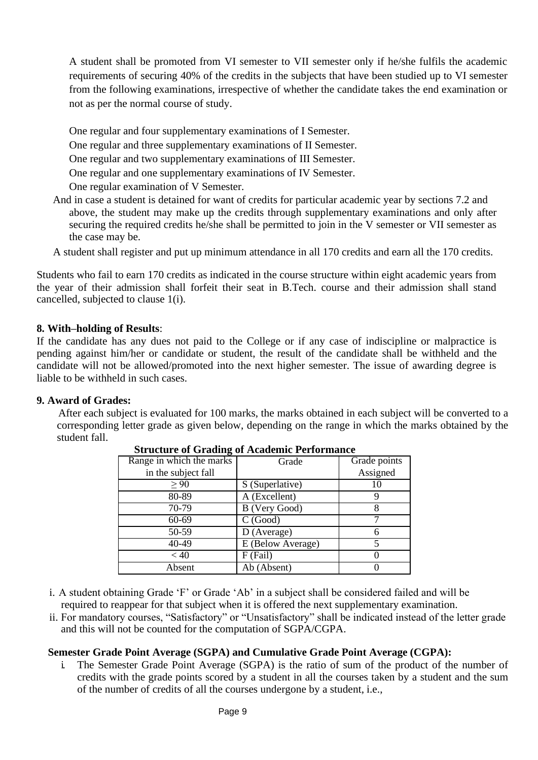A student shall be promoted from VI semester to VII semester only if he/she fulfils the academic requirements of securing 40% of the credits in the subjects that have been studied up to VI semester from the following examinations, irrespective of whether the candidate takes the end examination or not as per the normal course of study.

One regular and four supplementary examinations of I Semester.

One regular and three supplementary examinations of II Semester.

One regular and two supplementary examinations of III Semester.

One regular and one supplementary examinations of IV Semester.

One regular examination of V Semester.

And in case a student is detained for want of credits for particular academic year by sections 7.2 and above, the student may make up the credits through supplementary examinations and only after securing the required credits he/she shall be permitted to join in the V semester or VII semester as the case may be.

A student shall register and put up minimum attendance in all 170 credits and earn all the 170 credits.

Students who fail to earn 170 credits as indicated in the course structure within eight academic years from the year of their admission shall forfeit their seat in B.Tech. course and their admission shall stand cancelled, subjected to clause 1(i).

# **8. With–holding of Results**:

If the candidate has any dues not paid to the College or if any case of indiscipline or malpractice is pending against him/her or candidate or student, the result of the candidate shall be withheld and the candidate will not be allowed/promoted into the next higher semester. The issue of awarding degree is liable to be withheld in such cases.

#### **9. Award of Grades:**

After each subject is evaluated for 100 marks, the marks obtained in each subject will be converted to a corresponding letter grade as given below, depending on the range in which the marks obtained by the student fall.

| Range in which the marks | Grade             | Grade points |  |
|--------------------------|-------------------|--------------|--|
| in the subject fall      |                   | Assigned     |  |
| $\geq 90$                | S (Superlative)   | 10           |  |
| 80-89                    | A (Excellent)     |              |  |
| 70-79                    | B (Very Good)     |              |  |
| 60-69                    | C(Good)           |              |  |
| 50-59                    | D (Average)       |              |  |
| 40-49                    | E (Below Average) |              |  |
| < 40                     | F (Fail)          |              |  |
| Absent                   | Ab (Absent)       |              |  |

#### **Structure of Grading of Academic Performance**

i. A student obtaining Grade 'F' or Grade 'Ab' in a subject shall be considered failed and will be required to reappear for that subject when it is offered the next supplementary examination.

ii. For mandatory courses, "Satisfactory" or "Unsatisfactory" shall be indicated instead of the letter grade and this will not be counted for the computation of SGPA/CGPA.

# **Semester Grade Point Average (SGPA) and Cumulative Grade Point Average (CGPA):**

i. The Semester Grade Point Average (SGPA) is the ratio of sum of the product of the number of credits with the grade points scored by a student in all the courses taken by a student and the sum of the number of credits of all the courses undergone by a student, i.e.,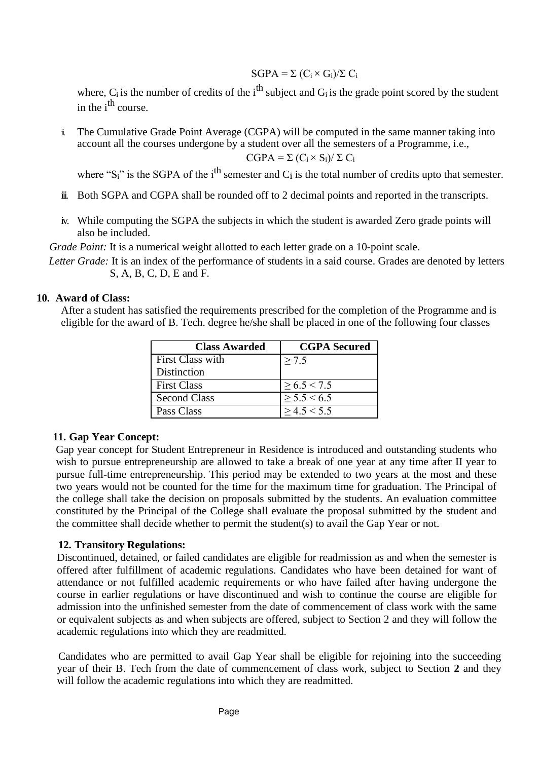# $SGPA = \Sigma (C_i \times G_i)/\Sigma C_i$

where,  $C_i$  is the number of credits of the i<sup>th</sup> subject and  $G_i$  is the grade point scored by the student in the  $i<sup>th</sup>$  course.

ii. The Cumulative Grade Point Average (CGPA) will be computed in the same manner taking into account all the courses undergone by a student over all the semesters of a Programme, i.e.,  $CGPA = \Sigma (C_i \times S_i) / \Sigma C_i$ 

where " $S_i$ " is the SGPA of the i<sup>th</sup> semester and C<sub>i</sub> is the total number of credits upto that semester.

- ii. Both SGPA and CGPA shall be rounded off to 2 decimal points and reported in the transcripts.
- iv. While computing the SGPA the subjects in which the student is awarded Zero grade points will also be included.

*Grade Point:* It is a numerical weight allotted to each letter grade on a 10-point scale.

*Letter Grade:* It is an index of the performance of students in a said course. Grades are denoted by letters S, A, B, C, D, E and F.

#### **10. Award of Class:**

After a student has satisfied the requirements prescribed for the completion of the Programme and is eligible for the award of B. Tech. degree he/she shall be placed in one of the following four classes

| <b>Class Awarded</b> | <b>CGPA</b> Secured |
|----------------------|---------------------|
| First Class with     | > 7.5               |
| Distinction          |                     |
| <b>First Class</b>   | $\geq 6.5 \leq 7.5$ |
| <b>Second Class</b>  | $\geq$ 5.5 < 6.5    |
| Pass Class           | > 4.5 < 5.5         |

#### **11. Gap Year Concept:**

Gap year concept for Student Entrepreneur in Residence is introduced and outstanding students who wish to pursue entrepreneurship are allowed to take a break of one year at any time after II year to pursue full-time entrepreneurship. This period may be extended to two years at the most and these two years would not be counted for the time for the maximum time for graduation. The Principal of the college shall take the decision on proposals submitted by the students. An evaluation committee constituted by the Principal of the College shall evaluate the proposal submitted by the student and the committee shall decide whether to permit the student(s) to avail the Gap Year or not.

# **12. Transitory Regulations:**

Discontinued, detained, or failed candidates are eligible for readmission as and when the semester is offered after fulfillment of academic regulations. Candidates who have been detained for want of attendance or not fulfilled academic requirements or who have failed after having undergone the course in earlier regulations or have discontinued and wish to continue the course are eligible for admission into the unfinished semester from the date of commencement of class work with the same or equivalent subjects as and when subjects are offered, subject to Section 2 and they will follow the academic regulations into which they are readmitted.

Candidates who are permitted to avail Gap Year shall be eligible for rejoining into the succeeding year of their B. Tech from the date of commencement of class work, subject to Section **2** and they will follow the academic regulations into which they are readmitted.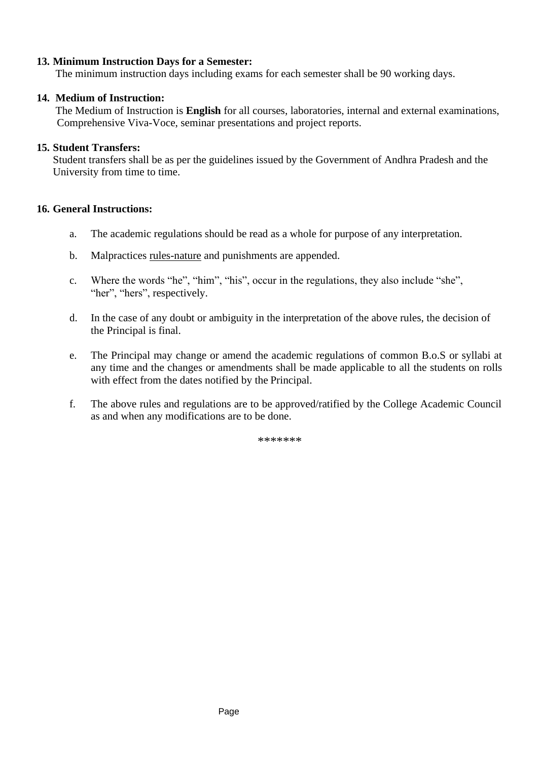# **13. Minimum Instruction Days for a Semester:**

The minimum instruction days including exams for each semester shall be 90 working days.

### **14. Medium of Instruction:**

The Medium of Instruction is **English** for all courses, laboratories, internal and external examinations, Comprehensive Viva-Voce, seminar presentations and project reports.

### **15. Student Transfers:**

Student transfers shall be as per the guidelines issued by the Government of Andhra Pradesh and the University from time to time.

### **16. General Instructions:**

- a. The academic regulations should be read as a whole for purpose of any interpretation.
- b. Malpractices rules-nature and punishments are appended.
- c. Where the words "he", "him", "his", occur in the regulations, they also include "she", "her", "hers", respectively.
- d. In the case of any doubt or ambiguity in the interpretation of the above rules, the decision of the Principal is final.
- e. The Principal may change or amend the academic regulations of common B.o.S or syllabi at any time and the changes or amendments shall be made applicable to all the students on rolls with effect from the dates notified by the Principal.
- f. The above rules and regulations are to be approved/ratified by the College Academic Council as and when any modifications are to be done.

\*\*\*\*\*\*\*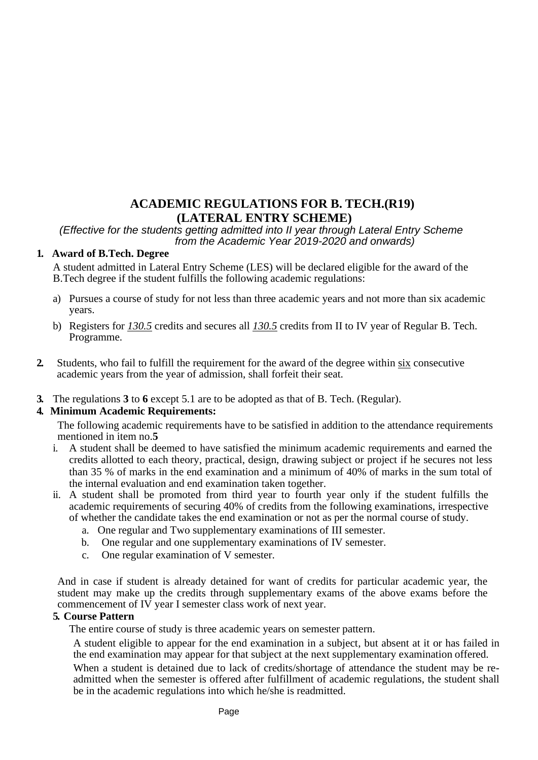# **ACADEMIC REGULATIONS FOR B. TECH.(R19) (LATERAL ENTRY SCHEME)**

*(Effective for the students getting admitted into II year through Lateral Entry Scheme from the Academic Year 2019-2020 and onwards)*

### **1. Award of B.Tech. Degree**

A student admitted in Lateral Entry Scheme (LES) will be declared eligible for the award of the B.Tech degree if the student fulfills the following academic regulations:

- a) Pursues a course of study for not less than three academic years and not more than six academic years.
- b) Registers for *130.5* credits and secures all *130.5* credits from II to IV year of Regular B. Tech. Programme.
- **2.** Students, who fail to fulfill the requirement for the award of the degree within six consecutive academic years from the year of admission, shall forfeit their seat.
- **3.** The regulations **3** to **6** except 5.1 are to be adopted as that of B. Tech. (Regular).

# **4. Minimum Academic Requirements:**

The following academic requirements have to be satisfied in addition to the attendance requirements mentioned in item no.**5**

- i. A student shall be deemed to have satisfied the minimum academic requirements and earned the credits allotted to each theory, practical, design, drawing subject or project if he secures not less than 35 % of marks in the end examination and a minimum of 40% of marks in the sum total of the internal evaluation and end examination taken together.
- ii. A student shall be promoted from third year to fourth year only if the student fulfills the academic requirements of securing 40% of credits from the following examinations, irrespective of whether the candidate takes the end examination or not as per the normal course of study.
	- a. One regular and Two supplementary examinations of III semester.
	- b. One regular and one supplementary examinations of IV semester.
	- c. One regular examination of V semester.

And in case if student is already detained for want of credits for particular academic year, the student may make up the credits through supplementary exams of the above exams before the commencement of IV year I semester class work of next year.

#### **5. Course Pattern**

The entire course of study is three academic years on semester pattern.

A student eligible to appear for the end examination in a subject, but absent at it or has failed in the end examination may appear for that subject at the next supplementary examination offered.

When a student is detained due to lack of credits/shortage of attendance the student may be readmitted when the semester is offered after fulfillment of academic regulations, the student shall be in the academic regulations into which he/she is readmitted.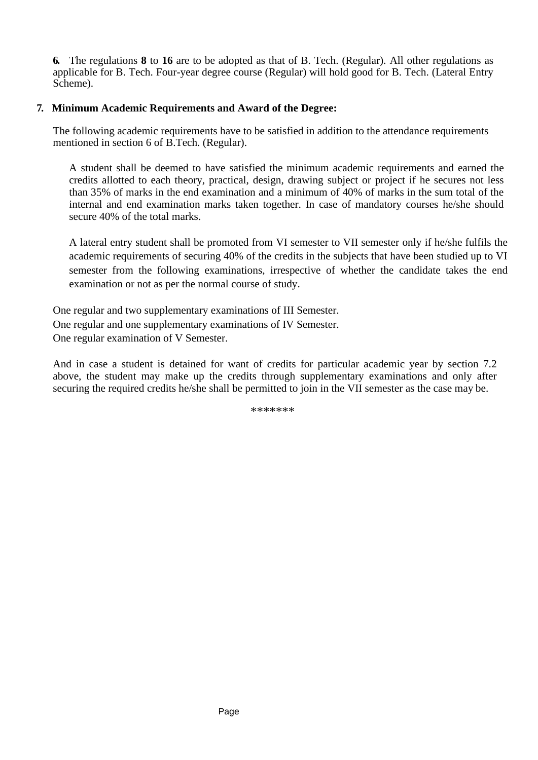**6.** The regulations **8** to **16** are to be adopted as that of B. Tech. (Regular). All other regulations as applicable for B. Tech. Four-year degree course (Regular) will hold good for B. Tech. (Lateral Entry Scheme).

### **7. Minimum Academic Requirements and Award of the Degree:**

The following academic requirements have to be satisfied in addition to the attendance requirements mentioned in section 6 of B.Tech. (Regular).

A student shall be deemed to have satisfied the minimum academic requirements and earned the credits allotted to each theory, practical, design, drawing subject or project if he secures not less than 35% of marks in the end examination and a minimum of 40% of marks in the sum total of the internal and end examination marks taken together. In case of mandatory courses he/she should secure 40% of the total marks.

A lateral entry student shall be promoted from VI semester to VII semester only if he/she fulfils the academic requirements of securing 40% of the credits in the subjects that have been studied up to VI semester from the following examinations, irrespective of whether the candidate takes the end examination or not as per the normal course of study.

One regular and two supplementary examinations of III Semester. One regular and one supplementary examinations of IV Semester. One regular examination of V Semester.

And in case a student is detained for want of credits for particular academic year by section 7.2 above, the student may make up the credits through supplementary examinations and only after securing the required credits he/she shall be permitted to join in the VII semester as the case may be.

\*\*\*\*\*\*\*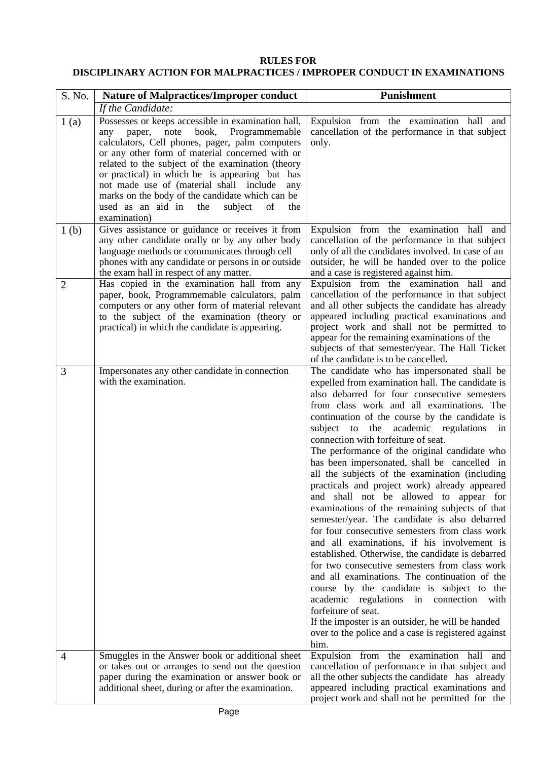# **RULES FOR DISCIPLINARY ACTION FOR MALPRACTICES / IMPROPER CONDUCT IN EXAMINATIONS**

| S. No.           | <b>Nature of Malpractices/Improper conduct</b>                                                                                                                                                                                                                                                                                                                                                                                                                                               | <b>Punishment</b>                                                                                                                                                                                                                                                                                                                                                                                                                                                                                                                                                                                                                                                                                                                                                                                                                                                                                                                                                                                                                                                                                                                                                              |
|------------------|----------------------------------------------------------------------------------------------------------------------------------------------------------------------------------------------------------------------------------------------------------------------------------------------------------------------------------------------------------------------------------------------------------------------------------------------------------------------------------------------|--------------------------------------------------------------------------------------------------------------------------------------------------------------------------------------------------------------------------------------------------------------------------------------------------------------------------------------------------------------------------------------------------------------------------------------------------------------------------------------------------------------------------------------------------------------------------------------------------------------------------------------------------------------------------------------------------------------------------------------------------------------------------------------------------------------------------------------------------------------------------------------------------------------------------------------------------------------------------------------------------------------------------------------------------------------------------------------------------------------------------------------------------------------------------------|
|                  | If the Candidate:                                                                                                                                                                                                                                                                                                                                                                                                                                                                            |                                                                                                                                                                                                                                                                                                                                                                                                                                                                                                                                                                                                                                                                                                                                                                                                                                                                                                                                                                                                                                                                                                                                                                                |
| 1(a)             | Possesses or keeps accessible in examination hall,<br>book,<br>Programmemable<br>note<br>paper,<br>any<br>calculators, Cell phones, pager, palm computers<br>or any other form of material concerned with or<br>related to the subject of the examination (theory<br>or practical) in which he is appearing but has<br>not made use of (material shall include<br>any<br>marks on the body of the candidate which can be<br>used as an aid in<br>the<br>subject<br>of<br>the<br>examination) | Expulsion from the examination hall and<br>cancellation of the performance in that subject<br>only.                                                                                                                                                                                                                                                                                                                                                                                                                                                                                                                                                                                                                                                                                                                                                                                                                                                                                                                                                                                                                                                                            |
| 1 <sub>(b)</sub> | Gives assistance or guidance or receives it from<br>any other candidate orally or by any other body<br>language methods or communicates through cell<br>phones with any candidate or persons in or outside<br>the exam hall in respect of any matter.                                                                                                                                                                                                                                        | Expulsion from the examination hall and<br>cancellation of the performance in that subject<br>only of all the candidates involved. In case of an<br>outsider, he will be handed over to the police<br>and a case is registered against him.                                                                                                                                                                                                                                                                                                                                                                                                                                                                                                                                                                                                                                                                                                                                                                                                                                                                                                                                    |
| $\mathfrak{2}$   | Has copied in the examination hall from any<br>paper, book, Programmemable calculators, palm<br>computers or any other form of material relevant<br>to the subject of the examination (theory or<br>practical) in which the candidate is appearing.                                                                                                                                                                                                                                          | Expulsion from the examination hall and<br>cancellation of the performance in that subject<br>and all other subjects the candidate has already<br>appeared including practical examinations and<br>project work and shall not be permitted to<br>appear for the remaining examinations of the<br>subjects of that semester/year. The Hall Ticket<br>of the candidate is to be cancelled.                                                                                                                                                                                                                                                                                                                                                                                                                                                                                                                                                                                                                                                                                                                                                                                       |
| 3                | Impersonates any other candidate in connection<br>with the examination.                                                                                                                                                                                                                                                                                                                                                                                                                      | The candidate who has impersonated shall be<br>expelled from examination hall. The candidate is<br>also debarred for four consecutive semesters<br>from class work and all examinations. The<br>continuation of the course by the candidate is<br>subject to the academic regulations<br>in<br>connection with forfeiture of seat.<br>The performance of the original candidate who<br>has been impersonated, shall be cancelled in<br>all the subjects of the examination (including<br>practicals and project work) already appeared<br>and shall not be allowed to appear for<br>examinations of the remaining subjects of that<br>semester/year. The candidate is also debarred<br>for four consecutive semesters from class work<br>and all examinations, if his involvement is<br>established. Otherwise, the candidate is debarred<br>for two consecutive semesters from class work<br>and all examinations. The continuation of the<br>course by the candidate is subject to the<br>academic regulations in connection with<br>forfeiture of seat.<br>If the imposter is an outsider, he will be handed<br>over to the police and a case is registered against<br>him. |
| 4                | Smuggles in the Answer book or additional sheet<br>or takes out or arranges to send out the question<br>paper during the examination or answer book or<br>additional sheet, during or after the examination.                                                                                                                                                                                                                                                                                 | Expulsion from the examination hall<br>and<br>cancellation of performance in that subject and<br>all the other subjects the candidate has already<br>appeared including practical examinations and<br>project work and shall not be permitted for the                                                                                                                                                                                                                                                                                                                                                                                                                                                                                                                                                                                                                                                                                                                                                                                                                                                                                                                          |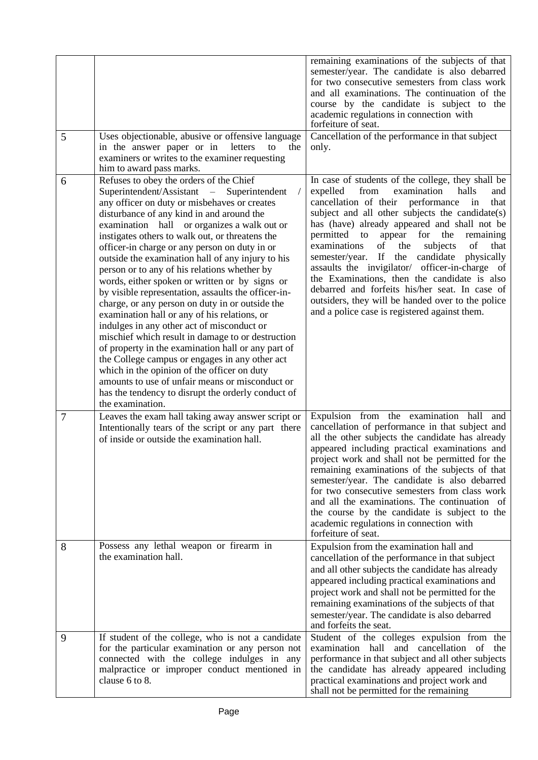| 5 | Uses objectionable, abusive or offensive language<br>in the answer paper or in<br>letters<br>to<br>the<br>examiners or writes to the examiner requesting                                                                                                                                                                                                                                                                                                                                                                                                                                                                                                                                                                                                                                                                                                                                                                                                                                                                                                                                  | remaining examinations of the subjects of that<br>semester/year. The candidate is also debarred<br>for two consecutive semesters from class work<br>and all examinations. The continuation of the<br>course by the candidate is subject to the<br>academic regulations in connection with<br>forfeiture of seat.<br>Cancellation of the performance in that subject<br>only.                                                                                                                                                                                                                                                                                                         |
|---|-------------------------------------------------------------------------------------------------------------------------------------------------------------------------------------------------------------------------------------------------------------------------------------------------------------------------------------------------------------------------------------------------------------------------------------------------------------------------------------------------------------------------------------------------------------------------------------------------------------------------------------------------------------------------------------------------------------------------------------------------------------------------------------------------------------------------------------------------------------------------------------------------------------------------------------------------------------------------------------------------------------------------------------------------------------------------------------------|--------------------------------------------------------------------------------------------------------------------------------------------------------------------------------------------------------------------------------------------------------------------------------------------------------------------------------------------------------------------------------------------------------------------------------------------------------------------------------------------------------------------------------------------------------------------------------------------------------------------------------------------------------------------------------------|
| 6 | him to award pass marks.<br>Refuses to obey the orders of the Chief<br>Superintendent/Assistant – Superintendent<br>$\frac{1}{2}$<br>any officer on duty or misbehaves or creates<br>disturbance of any kind in and around the<br>examination hall or organizes a walk out or<br>instigates others to walk out, or threatens the<br>officer-in charge or any person on duty in or<br>outside the examination hall of any injury to his<br>person or to any of his relations whether by<br>words, either spoken or written or by signs or<br>by visible representation, assaults the officer-in-<br>charge, or any person on duty in or outside the<br>examination hall or any of his relations, or<br>indulges in any other act of misconduct or<br>mischief which result in damage to or destruction<br>of property in the examination hall or any part of<br>the College campus or engages in any other act<br>which in the opinion of the officer on duty<br>amounts to use of unfair means or misconduct or<br>has the tendency to disrupt the orderly conduct of<br>the examination. | In case of students of the college, they shall be<br>from<br>examination<br>halls<br>expelled<br>and<br>cancellation of their performance<br>in<br>that<br>subject and all other subjects the candidate(s)<br>has (have) already appeared and shall not be<br>appear<br>for the<br>permitted to<br>remaining<br>of<br>the<br>subjects<br>of<br>that<br>examinations<br>If<br>the candidate<br>semester/year.<br>physically<br>assaults the invigilator/ officer-in-charge of<br>the Examinations, then the candidate is also<br>debarred and forfeits his/her seat. In case of<br>outsiders, they will be handed over to the police<br>and a police case is registered against them. |
| 7 | Leaves the exam hall taking away answer script or<br>Intentionally tears of the script or any part there<br>of inside or outside the examination hall.                                                                                                                                                                                                                                                                                                                                                                                                                                                                                                                                                                                                                                                                                                                                                                                                                                                                                                                                    | Expulsion from the examination hall<br>and<br>cancellation of performance in that subject and<br>all the other subjects the candidate has already<br>appeared including practical examinations and<br>project work and shall not be permitted for the<br>remaining examinations of the subjects of that<br>semester/year. The candidate is also debarred<br>for two consecutive semesters from class work<br>and all the examinations. The continuation of<br>the course by the candidate is subject to the<br>academic regulations in connection with<br>forfeiture of seat.                                                                                                        |
| 8 | Possess any lethal weapon or firearm in<br>the examination hall.                                                                                                                                                                                                                                                                                                                                                                                                                                                                                                                                                                                                                                                                                                                                                                                                                                                                                                                                                                                                                          | Expulsion from the examination hall and<br>cancellation of the performance in that subject<br>and all other subjects the candidate has already<br>appeared including practical examinations and<br>project work and shall not be permitted for the<br>remaining examinations of the subjects of that<br>semester/year. The candidate is also debarred<br>and forfeits the seat.                                                                                                                                                                                                                                                                                                      |
| 9 | If student of the college, who is not a candidate<br>for the particular examination or any person not<br>connected with the college indulges in any<br>malpractice or improper conduct mentioned in<br>clause 6 to 8.                                                                                                                                                                                                                                                                                                                                                                                                                                                                                                                                                                                                                                                                                                                                                                                                                                                                     | Student of the colleges expulsion from the<br>examination hall and cancellation of the<br>performance in that subject and all other subjects<br>the candidate has already appeared including<br>practical examinations and project work and<br>shall not be permitted for the remaining                                                                                                                                                                                                                                                                                                                                                                                              |